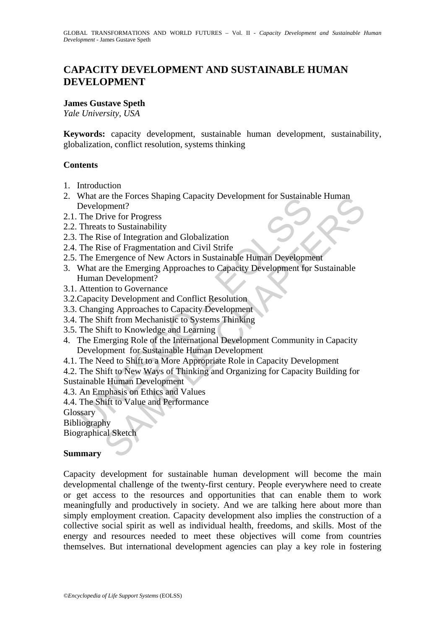# **CAPACITY DEVELOPMENT AND SUSTAINABLE HUMAN DEVELOPMENT**

# **James Gustave Speth**

*Yale University, USA* 

**Keywords:** capacity development, sustainable human development, sustainability, globalization, conflict resolution, systems thinking

### **Contents**

- 1. Introduction
- 2. What are the Forces Shaping Capacity Development for Sustainable Human Development?
- 2.1. The Drive for Progress
- 2.2. Threats to Sustainability
- 2.3. The Rise of Integration and Globalization
- 2.4. The Rise of Fragmentation and Civil Strife
- 2.5. The Emergence of New Actors in Sustainable Human Development
- 3. What are the Emerging Approaches to Capacity Development for Sustainable Human Development?
- 3.1. Attention to Governance
- 3.2.Capacity Development and Conflict Resolution
- 3.3. Changing Approaches to Capacity Development
- 3.4. The Shift from Mechanistic to Systems Thinking
- 3.5. The Shift to Knowledge and Learning
- What are the Forces Shaping Capacity Development for Sustaination<br>Development?<br>The Drive for Progress<br>Threats to Sustainability<br>The Rise of Integration and Globalization<br>The Rise of Fragmentation and Civil Strife<br>The Emerg re the Forces Shaping Capacity Development for Sustainable Fullman<br>
pment?<br>
pment?<br>
tive for Progress<br>
sto Sustainability<br>
is es of Integration and Globalization<br>
is ee of Integration and Givil Strife<br>
mergence of New Acto 4. The Emerging Role of the International Development Community in Capacity Development for Sustainable Human Development
- 4.1. The Need to Shift to a More Appropriate Role in Capacity Development
- 4.2. The Shift to New Ways of Thinking and Organizing for Capacity Building for Sustainable Human Development
- 4.3. An Emphasis on Ethics and Values
- 4.4. The Shift to Value and Performance

Glossary

Bibliography

Biographical Sketch

#### **Summary**

Capacity development for sustainable human development will become the main developmental challenge of the twenty-first century. People everywhere need to create or get access to the resources and opportunities that can enable them to work meaningfully and productively in society. And we are talking here about more than simply employment creation. Capacity development also implies the construction of a collective social spirit as well as individual health, freedoms, and skills. Most of the energy and resources needed to meet these objectives will come from countries themselves. But international development agencies can play a key role in fostering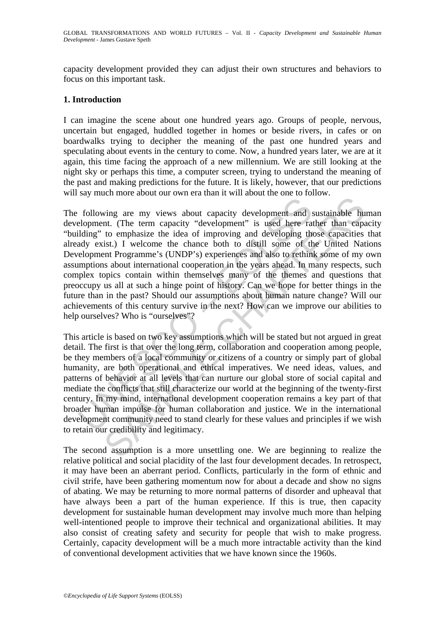capacity development provided they can adjust their own structures and behaviors to focus on this important task.

### **1. Introduction**

I can imagine the scene about one hundred years ago. Groups of people, nervous, uncertain but engaged, huddled together in homes or beside rivers, in cafes or on boardwalks trying to decipher the meaning of the past one hundred years and speculating about events in the century to come. Now, a hundred years later, we are at it again, this time facing the approach of a new millennium. We are still looking at the night sky or perhaps this time, a computer screen, trying to understand the meaning of the past and making predictions for the future. It is likely, however, that our predictions will say much more about our own era than it will about the one to follow.

following are my views about capacity development and elopment. (The term capacity "development" is used here ratiding" to emphasize the idea of improving and developing the elopment Programme's (UNDP's) experiences and al In the term capacity development and sustainable hung are my views about capacity development and sustainable hund to emphasize the idea of improving and developing those capacities ist.) I welcome the chance both to dist The following are my views about capacity development and sustainable human development. (The term capacity "development" is used here rather than capacity "building" to emphasize the idea of improving and developing those capacities that already exist.) I welcome the chance both to distill some of the United Nations Development Programme's (UNDP's) experiences and also to rethink some of my own assumptions about international cooperation in the years ahead. In many respects, such complex topics contain within themselves many of the themes and questions that preoccupy us all at such a hinge point of history. Can we hope for better things in the future than in the past? Should our assumptions about human nature change? Will our achievements of this century survive in the next? How can we improve our abilities to help ourselves? Who is "ourselves"?

This article is based on two key assumptions which will be stated but not argued in great detail. The first is that over the long term, collaboration and cooperation among people, be they members of a local community or citizens of a country or simply part of global humanity, are both operational and ethical imperatives. We need ideas, values, and patterns of behavior at all levels that can nurture our global store of social capital and mediate the conflicts that still characterize our world at the beginning of the twenty-first century. In my mind, international development cooperation remains a key part of that broader human impulse for human collaboration and justice. We in the international development community need to stand clearly for these values and principles if we wish to retain our credibility and legitimacy.

The second assumption is a more unsettling one. We are beginning to realize the relative political and social placidity of the last four development decades. In retrospect, it may have been an aberrant period. Conflicts, particularly in the form of ethnic and civil strife, have been gathering momentum now for about a decade and show no signs of abating. We may be returning to more normal patterns of disorder and upheaval that have always been a part of the human experience. If this is true, then capacity development for sustainable human development may involve much more than helping well-intentioned people to improve their technical and organizational abilities. It may also consist of creating safety and security for people that wish to make progress. Certainly, capacity development will be a much more intractable activity than the kind of conventional development activities that we have known since the 1960s.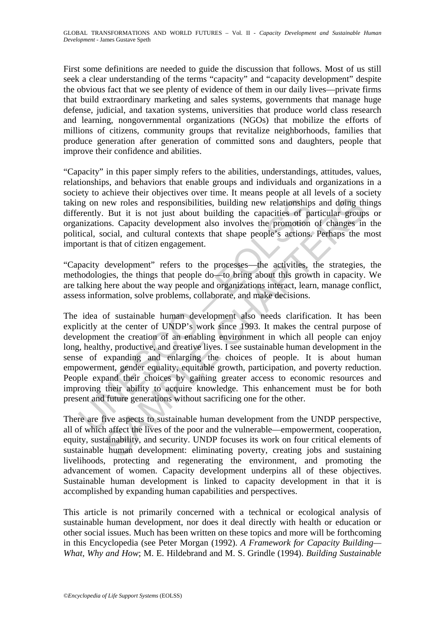First some definitions are needed to guide the discussion that follows. Most of us still seek a clear understanding of the terms "capacity" and "capacity development" despite the obvious fact that we see plenty of evidence of them in our daily lives—private firms that build extraordinary marketing and sales systems, governments that manage huge defense, judicial, and taxation systems, universities that produce world class research and learning, nongovernmental organizations (NGOs) that mobilize the efforts of millions of citizens, community groups that revitalize neighborhoods, families that produce generation after generation of committed sons and daughters, people that improve their confidence and abilities.

"Capacity" in this paper simply refers to the abilities, understandings, attitudes, values, relationships, and behaviors that enable groups and individuals and organizations in a society to achieve their objectives over time. It means people at all levels of a society taking on new roles and responsibilities, building new relationships and doing things differently. But it is not just about building the capacities of particular groups or organizations. Capacity development also involves the promotion of changes in the political, social, and cultural contexts that shape people's actions. Perhaps the most important is that of citizen engagement.

"Capacity development" refers to the processes—the activities, the strategies, the methodologies, the things that people do—to bring about this growth in capacity. We are talking here about the way people and organizations interact, learn, manage conflict, assess information, solve problems, collaborate, and make decisions.

ng on new roles and responsibilities, building new relationships<br>rently. But it is not just about building the capacities of pa<br>mizations. Capacity development also involves the promotion<br>tical, social, and cultural contex mew roles and responsibilities, building new relationships and doing the But it is not just about building the capacities of particular group B. But it is not just about building the capacities of particular group ocial, a The idea of sustainable human development also needs clarification. It has been explicitly at the center of UNDP's work since 1993. It makes the central purpose of development the creation of an enabling environment in which all people can enjoy long, healthy, productive, and creative lives. I see sustainable human development in the sense of expanding and enlarging the choices of people. It is about human empowerment, gender equality, equitable growth, participation, and poverty reduction. People expand their choices by gaining greater access to economic resources and improving their ability to acquire knowledge. This enhancement must be for both present and future generations without sacrificing one for the other.

There are five aspects to sustainable human development from the UNDP perspective, all of which affect the lives of the poor and the vulnerable—empowerment, cooperation, equity, sustainability, and security. UNDP focuses its work on four critical elements of sustainable human development: eliminating poverty, creating jobs and sustaining livelihoods, protecting and regenerating the environment, and promoting the advancement of women. Capacity development underpins all of these objectives. Sustainable human development is linked to capacity development in that it is accomplished by expanding human capabilities and perspectives.

This article is not primarily concerned with a technical or ecological analysis of sustainable human development, nor does it deal directly with health or education or other social issues. Much has been written on these topics and more will be forthcoming in this Encyclopedia (see Peter Morgan (1992). *A Framework for Capacity Building— What, Why and How*; M. E. Hildebrand and M. S. Grindle (1994). *Building Sustainable*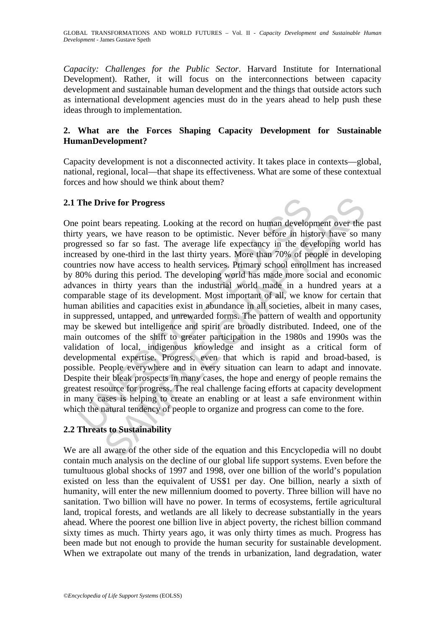GLOBAL TRANSFORMATIONS AND WORLD FUTURES – Vol. II - *Capacity Development and Sustainable Human Development* - James Gustave Speth

*Capacity: Challenges for the Public Sector*. Harvard Institute for International Development). Rather, it will focus on the interconnections between capacity development and sustainable human development and the things that outside actors such as international development agencies must do in the years ahead to help push these ideas through to implementation.

# **2. What are the Forces Shaping Capacity Development for Sustainable HumanDevelopment?**

Capacity development is not a disconnected activity. It takes place in contexts—global, national, regional, local—that shape its effectiveness. What are some of these contextual forces and how should we think about them?

#### **2.1 The Drive for Progress**

The Drive for Progress<br>point bears repeating. Looking at the record on human develop<br>y years, we have reason to be optimistic. Never before in hist<br>greessed so far so fast. The average life expectancy in the dev<br>eased by o rive for Progress<br>
bears repeating. Looking at the record on human development over the<br>
s, we have reason to be optimistic. Never before in history have so n<br>
so far so fast. The average life expectancy in the developing One point bears repeating. Looking at the record on human development over the past thirty years, we have reason to be optimistic. Never before in history have so many progressed so far so fast. The average life expectancy in the developing world has increased by one-third in the last thirty years. More than 70% of people in developing countries now have access to health services. Primary school enrollment has increased by 80% during this period. The developing world has made more social and economic advances in thirty years than the industrial world made in a hundred years at a comparable stage of its development. Most important of all, we know for certain that human abilities and capacities exist in abundance in all societies, albeit in many cases, in suppressed, untapped, and unrewarded forms. The pattern of wealth and opportunity may be skewed but intelligence and spirit are broadly distributed. Indeed, one of the main outcomes of the shift to greater participation in the 1980s and 1990s was the validation of local, indigenous knowledge and insight as a critical form of developmental expertise. Progress, even that which is rapid and broad-based, is possible. People everywhere and in every situation can learn to adapt and innovate. Despite their bleak prospects in many cases, the hope and energy of people remains the greatest resource for progress. The real challenge facing efforts at capacity development in many cases is helping to create an enabling or at least a safe environment within which the natural tendency of people to organize and progress can come to the fore.

# **2.2 Threats to Sustainability**

We are all aware of the other side of the equation and this Encyclopedia will no doubt contain much analysis on the decline of our global life support systems. Even before the tumultuous global shocks of 1997 and 1998, over one billion of the world's population existed on less than the equivalent of US\$1 per day. One billion, nearly a sixth of humanity, will enter the new millennium doomed to poverty. Three billion will have no sanitation. Two billion will have no power. In terms of ecosystems, fertile agricultural land, tropical forests, and wetlands are all likely to decrease substantially in the years ahead. Where the poorest one billion live in abject poverty, the richest billion command sixty times as much. Thirty years ago, it was only thirty times as much. Progress has been made but not enough to provide the human security for sustainable development. When we extrapolate out many of the trends in urbanization, land degradation, water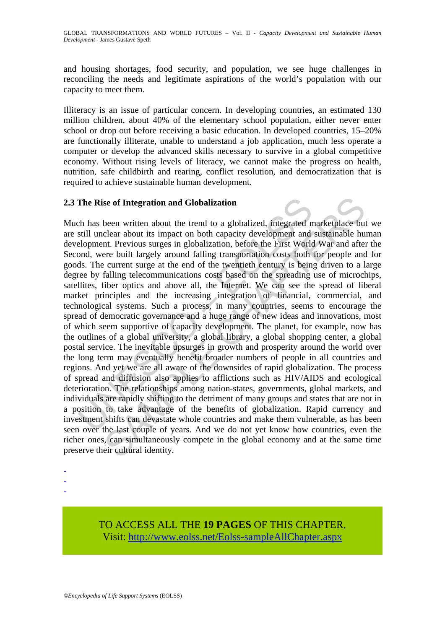and housing shortages, food security, and population, we see huge challenges in reconciling the needs and legitimate aspirations of the world's population with our capacity to meet them.

Illiteracy is an issue of particular concern. In developing countries, an estimated 130 million children, about 40% of the elementary school population, either never enter school or drop out before receiving a basic education. In developed countries, 15–20% are functionally illiterate, unable to understand a job application, much less operate a computer or develop the advanced skills necessary to survive in a global competitive economy. Without rising levels of literacy, we cannot make the progress on health, nutrition, safe childbirth and rearing, conflict resolution, and democratization that is required to achieve sustainable human development.

### **2.3 The Rise of Integration and Globalization**

The Rise of Integration and Globalization<br>
ch has been written about the trend to a globalized, integrated m<br>
still unclear about its impact on both capacity development and<br>
still unclear about its impact on both capacity se of Integration and Globalization<br>been written about the trend to a globalized, integrated marketplace bu<br>clear about its impact on both capacity development and sustainable hu<br>t. Previous surges in globalization, before Much has been written about the trend to a globalized, integrated marketplace but we are still unclear about its impact on both capacity development and sustainable human development. Previous surges in globalization, before the First World War and after the Second, were built largely around falling transportation costs both for people and for goods. The current surge at the end of the twentieth century is being driven to a large degree by falling telecommunications costs based on the spreading use of microchips, satellites, fiber optics and above all, the Internet. We can see the spread of liberal market principles and the increasing integration of financial, commercial, and technological systems. Such a process, in many countries, seems to encourage the spread of democratic governance and a huge range of new ideas and innovations, most of which seem supportive of capacity development. The planet, for example, now has the outlines of a global university, a global library, a global shopping center, a global postal service. The inevitable upsurges in growth and prosperity around the world over the long term may eventually benefit broader numbers of people in all countries and regions. And yet we are all aware of the downsides of rapid globalization. The process of spread and diffusion also applies to afflictions such as HIV/AIDS and ecological deterioration. The relationships among nation-states, governments, global markets, and individuals are rapidly shifting to the detriment of many groups and states that are not in a position to take advantage of the benefits of globalization. Rapid currency and investment shifts can devastate whole countries and make them vulnerable, as has been seen over the last couple of years. And we do not yet know how countries, even the richer ones, can simultaneously compete in the global economy and at the same time preserve their cultural identity.

- -
- -
- -

TO ACCESS ALL THE **19 PAGES** OF THIS CHAPTER, Visit: [http://www.eolss.net/Eolss-sampleAllChapter.aspx](https://www.eolss.net/ebooklib/sc_cart.aspx?File=E1-24-08)